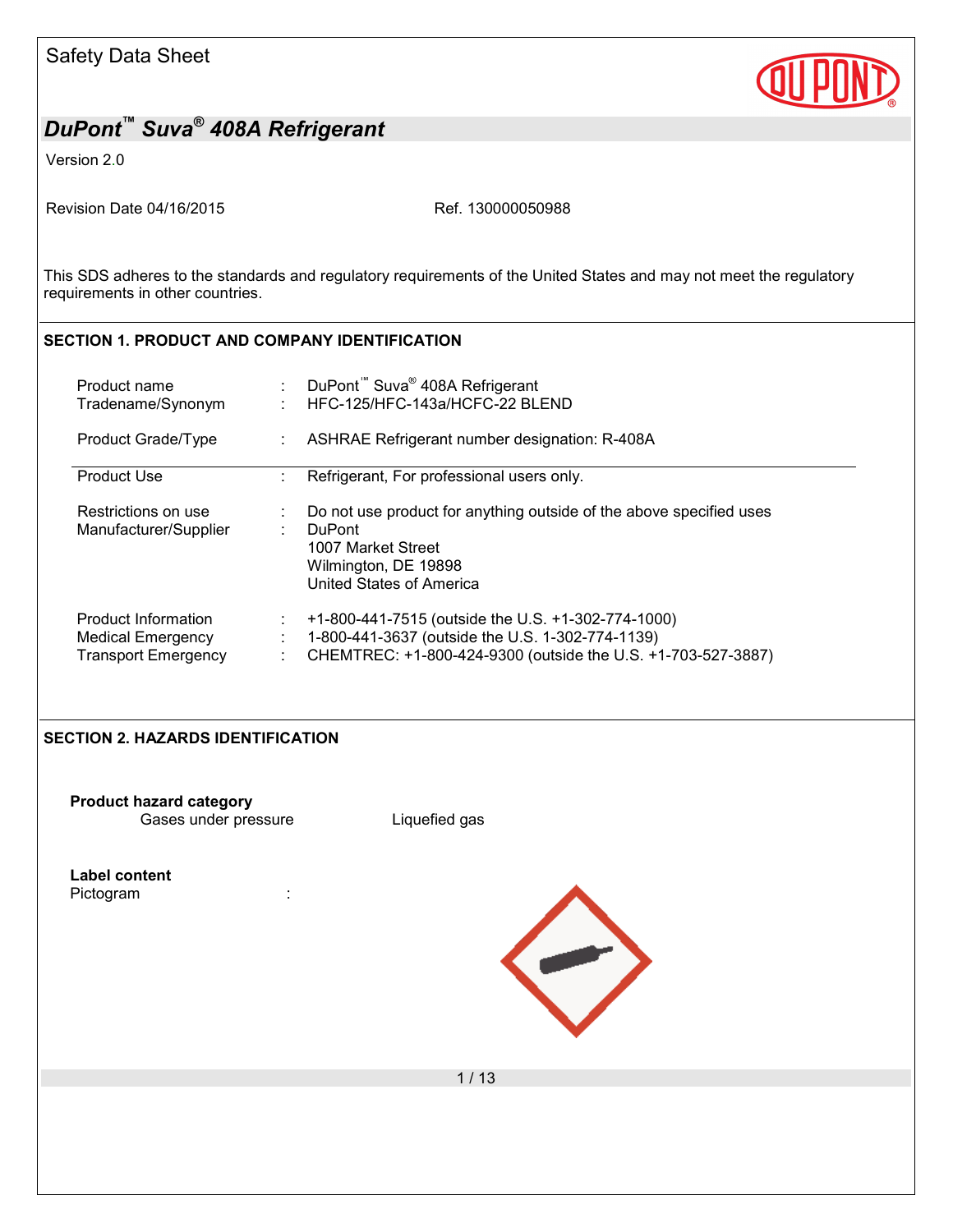

Version 2.0

Revision Date 04/16/2015 Revision Date 04/16/2015

This SDS adheres to the standards and regulatory requirements of the United States and may not meet the regulatory requirements in other countries.

### **SECTION 1. PRODUCT AND COMPANY IDENTIFICATION**

| Product name<br>Tradename/Synonym                                      | DuPont <sup>™</sup> Suva <sup>®</sup> 408A Refrigerant<br>HFC-125/HFC-143a/HCFC-22 BLEND                                                                               |
|------------------------------------------------------------------------|------------------------------------------------------------------------------------------------------------------------------------------------------------------------|
| Product Grade/Type                                                     | ASHRAE Refrigerant number designation: R-408A                                                                                                                          |
| <b>Product Use</b>                                                     | Refrigerant, For professional users only.                                                                                                                              |
| Restrictions on use<br>Manufacturer/Supplier                           | Do not use product for anything outside of the above specified uses<br><b>DuPont</b><br>1007 Market Street<br>Wilmington, DE 19898<br>United States of America         |
| Product Information<br>Medical Emergency<br><b>Transport Emergency</b> | +1-800-441-7515 (outside the U.S. +1-302-774-1000)<br>1-800-441-3637 (outside the U.S. 1-302-774-1139)<br>CHEMTREC: +1-800-424-9300 (outside the U.S. +1-703-527-3887) |

### **SECTION 2. HAZARDS IDENTIFICATION**

**Product hazard category** Gases under pressure **Liquefied gas** 

**Label content**

Pictogram in the set of the set of the set of the set of the set of the set of the set of the set of the set o



1 / 13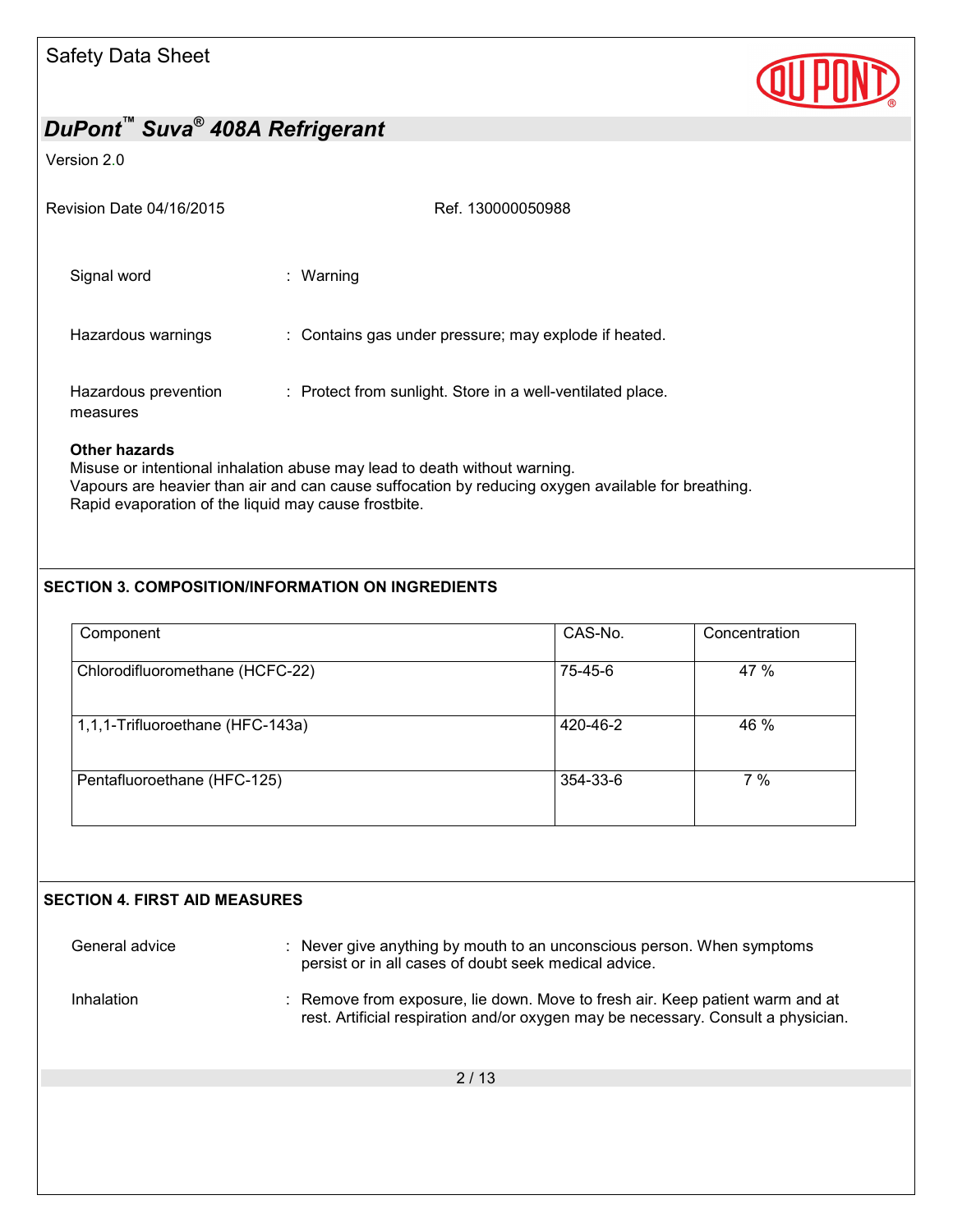

#### Version 2.0

| Revision Date 04/16/2015         | Ref. 130000050988                                          |
|----------------------------------|------------------------------------------------------------|
| Signal word                      | : Warning                                                  |
| Hazardous warnings               | : Contains gas under pressure; may explode if heated.      |
| Hazardous prevention<br>measures | : Protect from sunlight. Store in a well-ventilated place. |

### **Other hazards**

Misuse or intentional inhalation abuse may lead to death without warning. Vapours are heavier than air and can cause suffocation by reducing oxygen available for breathing. Rapid evaporation of the liquid may cause frostbite.

### **SECTION 3. COMPOSITION/INFORMATION ON INGREDIENTS**

| Component                        | CAS-No.  | Concentration |
|----------------------------------|----------|---------------|
| Chlorodifluoromethane (HCFC-22)  | 75-45-6  | 47 %          |
| 1,1,1-Trifluoroethane (HFC-143a) | 420-46-2 | 46 %          |
| Pentafluoroethane (HFC-125)      | 354-33-6 | 7%            |
|                                  |          |               |

### **SECTION 4. FIRST AID MEASURES**

General advice : Never give anything by mouth to an unconscious person. When symptoms persist or in all cases of doubt seek medical advice.

Inhalation : Remove from exposure, lie down. Move to fresh air. Keep patient warm and at rest. Artificial respiration and/or oxygen may be necessary. Consult a physician.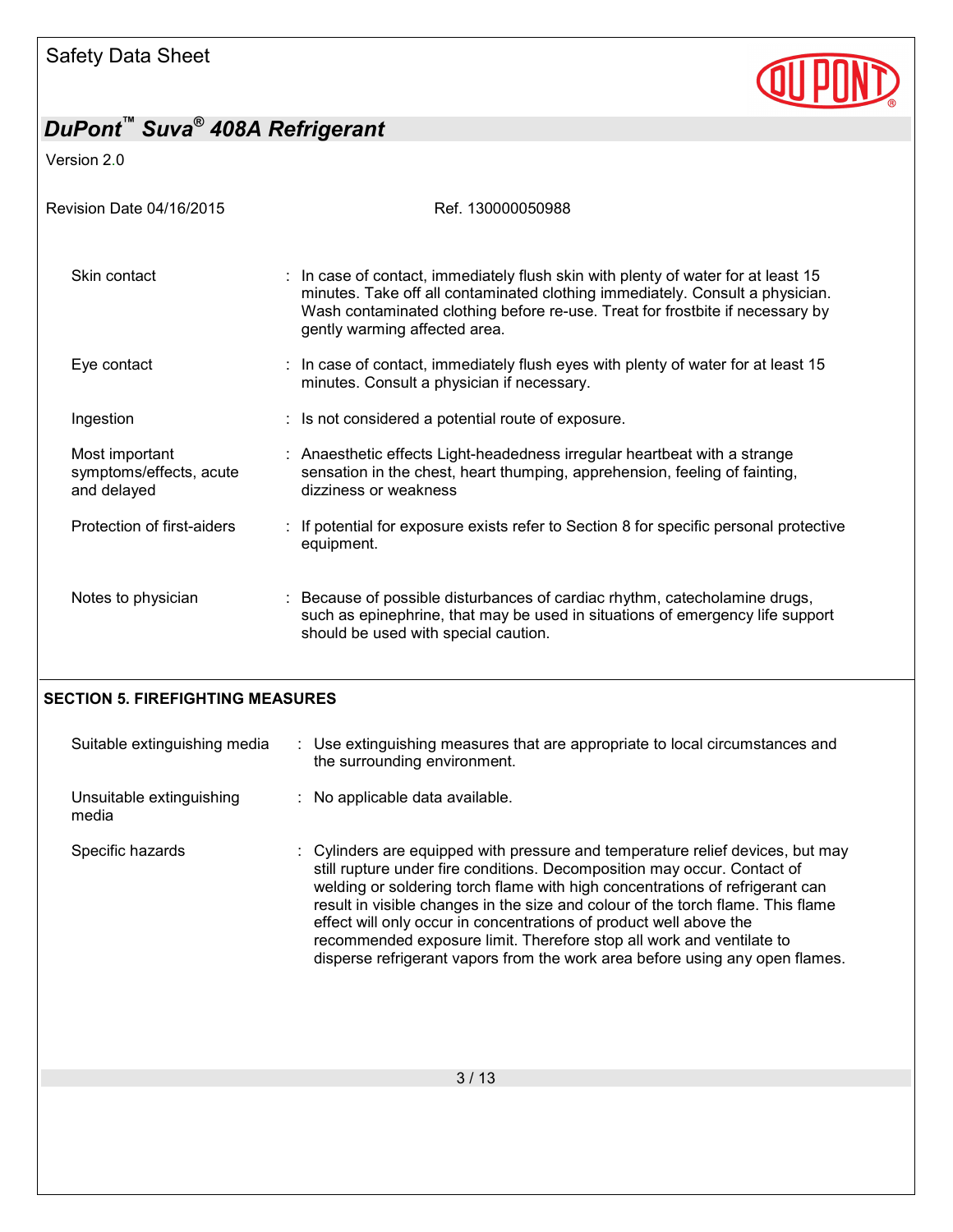

Version 2.0

| Revision Date 04/16/2015                                 | Ref. 130000050988                                                                                                                                                                                                                                                                                                                                                                                                                                                                                                                                         |
|----------------------------------------------------------|-----------------------------------------------------------------------------------------------------------------------------------------------------------------------------------------------------------------------------------------------------------------------------------------------------------------------------------------------------------------------------------------------------------------------------------------------------------------------------------------------------------------------------------------------------------|
| Skin contact                                             | : In case of contact, immediately flush skin with plenty of water for at least 15<br>minutes. Take off all contaminated clothing immediately. Consult a physician.<br>Wash contaminated clothing before re-use. Treat for frostbite if necessary by<br>gently warming affected area.                                                                                                                                                                                                                                                                      |
| Eye contact                                              | : In case of contact, immediately flush eyes with plenty of water for at least 15<br>minutes. Consult a physician if necessary.                                                                                                                                                                                                                                                                                                                                                                                                                           |
| Ingestion                                                | : Is not considered a potential route of exposure.                                                                                                                                                                                                                                                                                                                                                                                                                                                                                                        |
| Most important<br>symptoms/effects, acute<br>and delayed | : Anaesthetic effects Light-headedness irregular heartbeat with a strange<br>sensation in the chest, heart thumping, apprehension, feeling of fainting,<br>dizziness or weakness                                                                                                                                                                                                                                                                                                                                                                          |
| Protection of first-aiders                               | : If potential for exposure exists refer to Section 8 for specific personal protective<br>equipment.                                                                                                                                                                                                                                                                                                                                                                                                                                                      |
| Notes to physician                                       | : Because of possible disturbances of cardiac rhythm, catecholamine drugs,<br>such as epinephrine, that may be used in situations of emergency life support<br>should be used with special caution.                                                                                                                                                                                                                                                                                                                                                       |
| <b>SECTION 5. FIREFIGHTING MEASURES</b>                  |                                                                                                                                                                                                                                                                                                                                                                                                                                                                                                                                                           |
| Suitable extinguishing media                             | : Use extinguishing measures that are appropriate to local circumstances and<br>the surrounding environment.                                                                                                                                                                                                                                                                                                                                                                                                                                              |
| Unsuitable extinguishing<br>media                        | No applicable data available.                                                                                                                                                                                                                                                                                                                                                                                                                                                                                                                             |
| Specific hazards                                         | Cylinders are equipped with pressure and temperature relief devices, but may<br>still rupture under fire conditions. Decomposition may occur. Contact of<br>welding or soldering torch flame with high concentrations of refrigerant can<br>result in visible changes in the size and colour of the torch flame. This flame<br>effect will only occur in concentrations of product well above the<br>recommended exposure limit. Therefore stop all work and ventilate to<br>disperse refrigerant vapors from the work area before using any open flames. |
|                                                          | 3/13                                                                                                                                                                                                                                                                                                                                                                                                                                                                                                                                                      |
|                                                          |                                                                                                                                                                                                                                                                                                                                                                                                                                                                                                                                                           |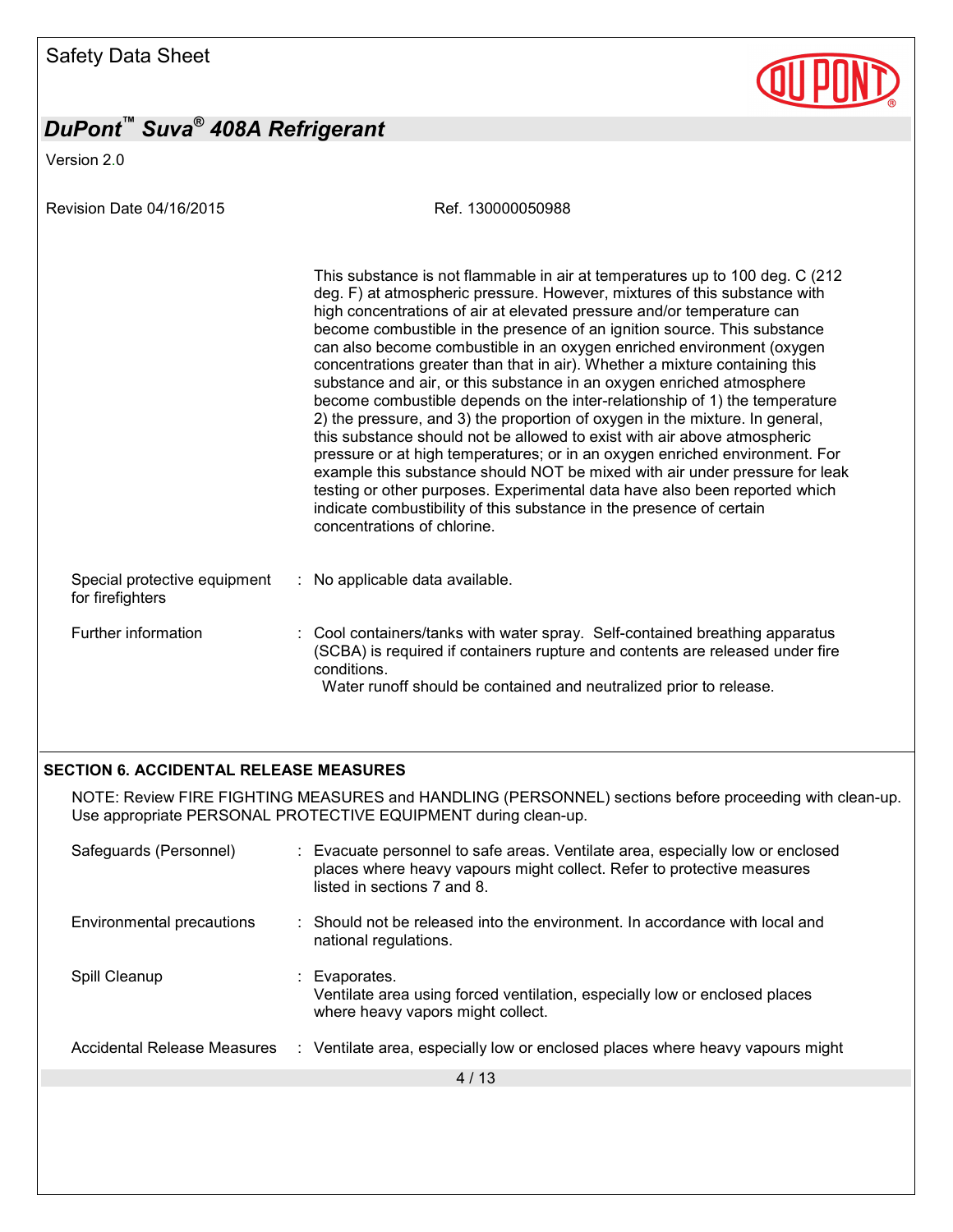Version 2.0

Revision Date 04/16/2015 Ref. 130000050988

| Special protective equipment<br>for firefighters | This substance is not flammable in air at temperatures up to 100 deg. C (212)<br>deg. F) at atmospheric pressure. However, mixtures of this substance with<br>high concentrations of air at elevated pressure and/or temperature can<br>become combustible in the presence of an ignition source. This substance<br>can also become combustible in an oxygen enriched environment (oxygen<br>concentrations greater than that in air). Whether a mixture containing this<br>substance and air, or this substance in an oxygen enriched atmosphere<br>become combustible depends on the inter-relationship of 1) the temperature<br>2) the pressure, and 3) the proportion of oxygen in the mixture. In general,<br>this substance should not be allowed to exist with air above atmospheric<br>pressure or at high temperatures; or in an oxygen enriched environment. For<br>example this substance should NOT be mixed with air under pressure for leak<br>testing or other purposes. Experimental data have also been reported which<br>indicate combustibility of this substance in the presence of certain<br>concentrations of chlorine.<br>: No applicable data available. |
|--------------------------------------------------|-----------------------------------------------------------------------------------------------------------------------------------------------------------------------------------------------------------------------------------------------------------------------------------------------------------------------------------------------------------------------------------------------------------------------------------------------------------------------------------------------------------------------------------------------------------------------------------------------------------------------------------------------------------------------------------------------------------------------------------------------------------------------------------------------------------------------------------------------------------------------------------------------------------------------------------------------------------------------------------------------------------------------------------------------------------------------------------------------------------------------------------------------------------------------------------|
| Further information                              | : Cool containers/tanks with water spray. Self-contained breathing apparatus                                                                                                                                                                                                                                                                                                                                                                                                                                                                                                                                                                                                                                                                                                                                                                                                                                                                                                                                                                                                                                                                                                      |
|                                                  | (SCBA) is required if containers rupture and contents are released under fire<br>conditions.<br>Water runoff should be contained and neutralized prior to release.                                                                                                                                                                                                                                                                                                                                                                                                                                                                                                                                                                                                                                                                                                                                                                                                                                                                                                                                                                                                                |

### **SECTION 6. ACCIDENTAL RELEASE MEASURES**

NOTE: Review FIRE FIGHTING MEASURES and HANDLING (PERSONNEL) sections before proceeding with clean-up. Use appropriate PERSONAL PROTECTIVE EQUIPMENT during clean-up.

| Safeguards (Personnel)      | : Evacuate personnel to safe areas. Ventilate area, especially low or enclosed<br>places where heavy vapours might collect. Refer to protective measures<br>listed in sections 7 and 8. |
|-----------------------------|-----------------------------------------------------------------------------------------------------------------------------------------------------------------------------------------|
| Environmental precautions   | $\therefore$ Should not be released into the environment. In accordance with local and<br>national regulations.                                                                         |
| Spill Cleanup               | : Evaporates.<br>Ventilate area using forced ventilation, especially low or enclosed places<br>where heavy vapors might collect.                                                        |
| Accidental Release Measures | : Ventilate area, especially low or enclosed places where heavy vapours might                                                                                                           |
|                             | 4/13                                                                                                                                                                                    |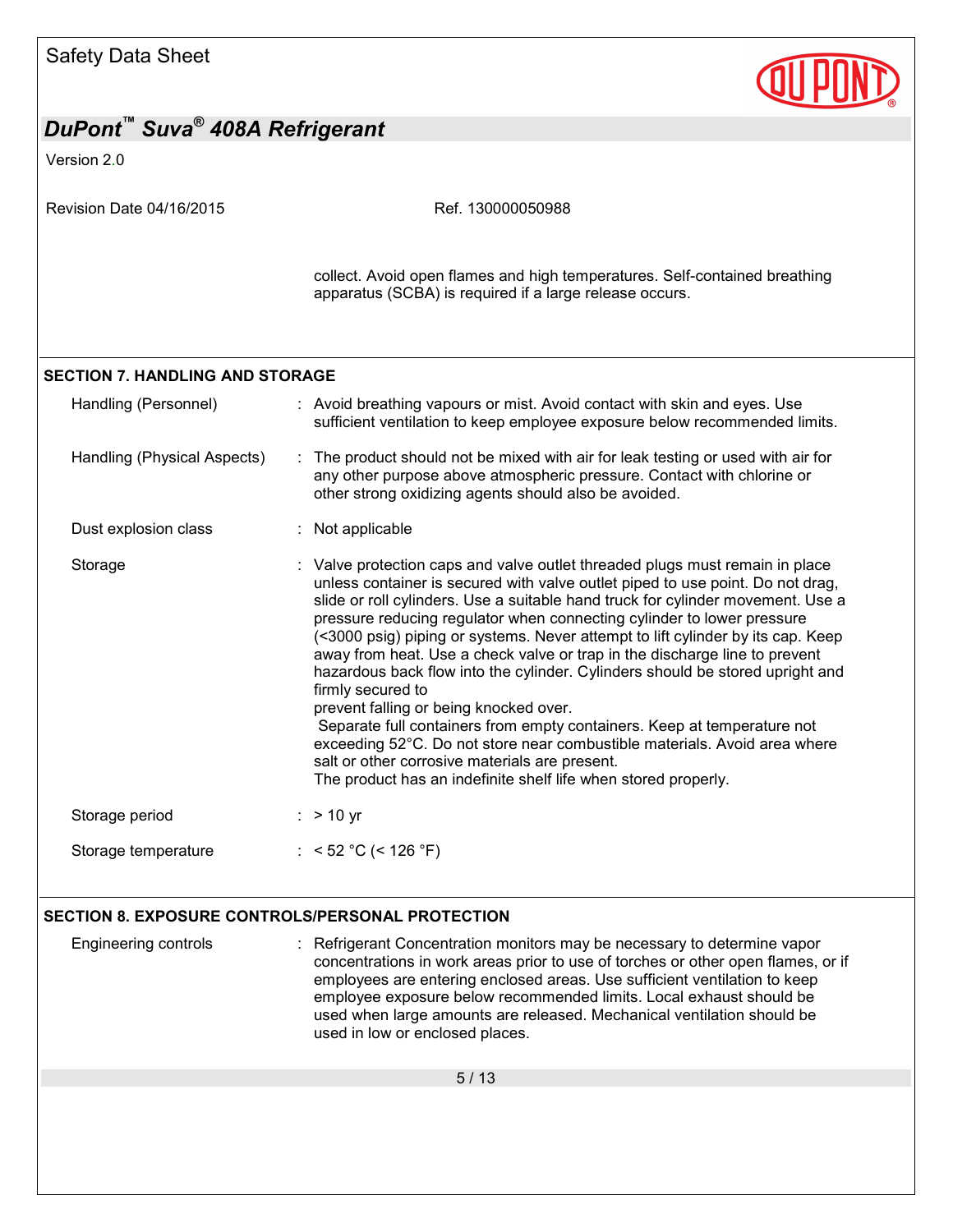

| DuPont™ Suva <sup>®</sup> 408A Refrigerant       |                                                                                                                                                                                                                                                                                                                                                                                                                                                                                                                                                                                                                                                                                                                                                                                                                                                                                                                          |  |
|--------------------------------------------------|--------------------------------------------------------------------------------------------------------------------------------------------------------------------------------------------------------------------------------------------------------------------------------------------------------------------------------------------------------------------------------------------------------------------------------------------------------------------------------------------------------------------------------------------------------------------------------------------------------------------------------------------------------------------------------------------------------------------------------------------------------------------------------------------------------------------------------------------------------------------------------------------------------------------------|--|
| Version 2.0                                      |                                                                                                                                                                                                                                                                                                                                                                                                                                                                                                                                                                                                                                                                                                                                                                                                                                                                                                                          |  |
| Revision Date 04/16/2015                         | Ref. 130000050988                                                                                                                                                                                                                                                                                                                                                                                                                                                                                                                                                                                                                                                                                                                                                                                                                                                                                                        |  |
|                                                  | collect. Avoid open flames and high temperatures. Self-contained breathing<br>apparatus (SCBA) is required if a large release occurs.                                                                                                                                                                                                                                                                                                                                                                                                                                                                                                                                                                                                                                                                                                                                                                                    |  |
| <b>SECTION 7. HANDLING AND STORAGE</b>           |                                                                                                                                                                                                                                                                                                                                                                                                                                                                                                                                                                                                                                                                                                                                                                                                                                                                                                                          |  |
| Handling (Personnel)                             | : Avoid breathing vapours or mist. Avoid contact with skin and eyes. Use<br>sufficient ventilation to keep employee exposure below recommended limits.                                                                                                                                                                                                                                                                                                                                                                                                                                                                                                                                                                                                                                                                                                                                                                   |  |
| Handling (Physical Aspects)                      | The product should not be mixed with air for leak testing or used with air for<br>any other purpose above atmospheric pressure. Contact with chlorine or<br>other strong oxidizing agents should also be avoided.                                                                                                                                                                                                                                                                                                                                                                                                                                                                                                                                                                                                                                                                                                        |  |
| Dust explosion class                             | : Not applicable                                                                                                                                                                                                                                                                                                                                                                                                                                                                                                                                                                                                                                                                                                                                                                                                                                                                                                         |  |
| Storage                                          | : Valve protection caps and valve outlet threaded plugs must remain in place<br>unless container is secured with valve outlet piped to use point. Do not drag,<br>slide or roll cylinders. Use a suitable hand truck for cylinder movement. Use a<br>pressure reducing regulator when connecting cylinder to lower pressure<br>(<3000 psig) piping or systems. Never attempt to lift cylinder by its cap. Keep<br>away from heat. Use a check valve or trap in the discharge line to prevent<br>hazardous back flow into the cylinder. Cylinders should be stored upright and<br>firmly secured to<br>prevent falling or being knocked over.<br>Separate full containers from empty containers. Keep at temperature not<br>exceeding 52°C. Do not store near combustible materials. Avoid area where<br>salt or other corrosive materials are present.<br>The product has an indefinite shelf life when stored properly. |  |
| Storage period                                   | $:$ > 10 yr                                                                                                                                                                                                                                                                                                                                                                                                                                                                                                                                                                                                                                                                                                                                                                                                                                                                                                              |  |
| Storage temperature                              | : < 52 °C (< 126 °F)                                                                                                                                                                                                                                                                                                                                                                                                                                                                                                                                                                                                                                                                                                                                                                                                                                                                                                     |  |
| SECTION 8. EXPOSURE CONTROLS/PERSONAL PROTECTION |                                                                                                                                                                                                                                                                                                                                                                                                                                                                                                                                                                                                                                                                                                                                                                                                                                                                                                                          |  |
| <b>Engineering controls</b>                      | : Refrigerant Concentration monitors may be necessary to determine vapor<br>concentrations in work areas prior to use of torches or other open flames, or if<br>employees are entering enclosed areas. Use sufficient ventilation to keep<br>employee exposure below recommended limits. Local exhaust should be<br>used when large amounts are released. Mechanical ventilation should be<br>used in low or enclosed places.                                                                                                                                                                                                                                                                                                                                                                                                                                                                                            |  |
|                                                  | 5/13                                                                                                                                                                                                                                                                                                                                                                                                                                                                                                                                                                                                                                                                                                                                                                                                                                                                                                                     |  |
|                                                  |                                                                                                                                                                                                                                                                                                                                                                                                                                                                                                                                                                                                                                                                                                                                                                                                                                                                                                                          |  |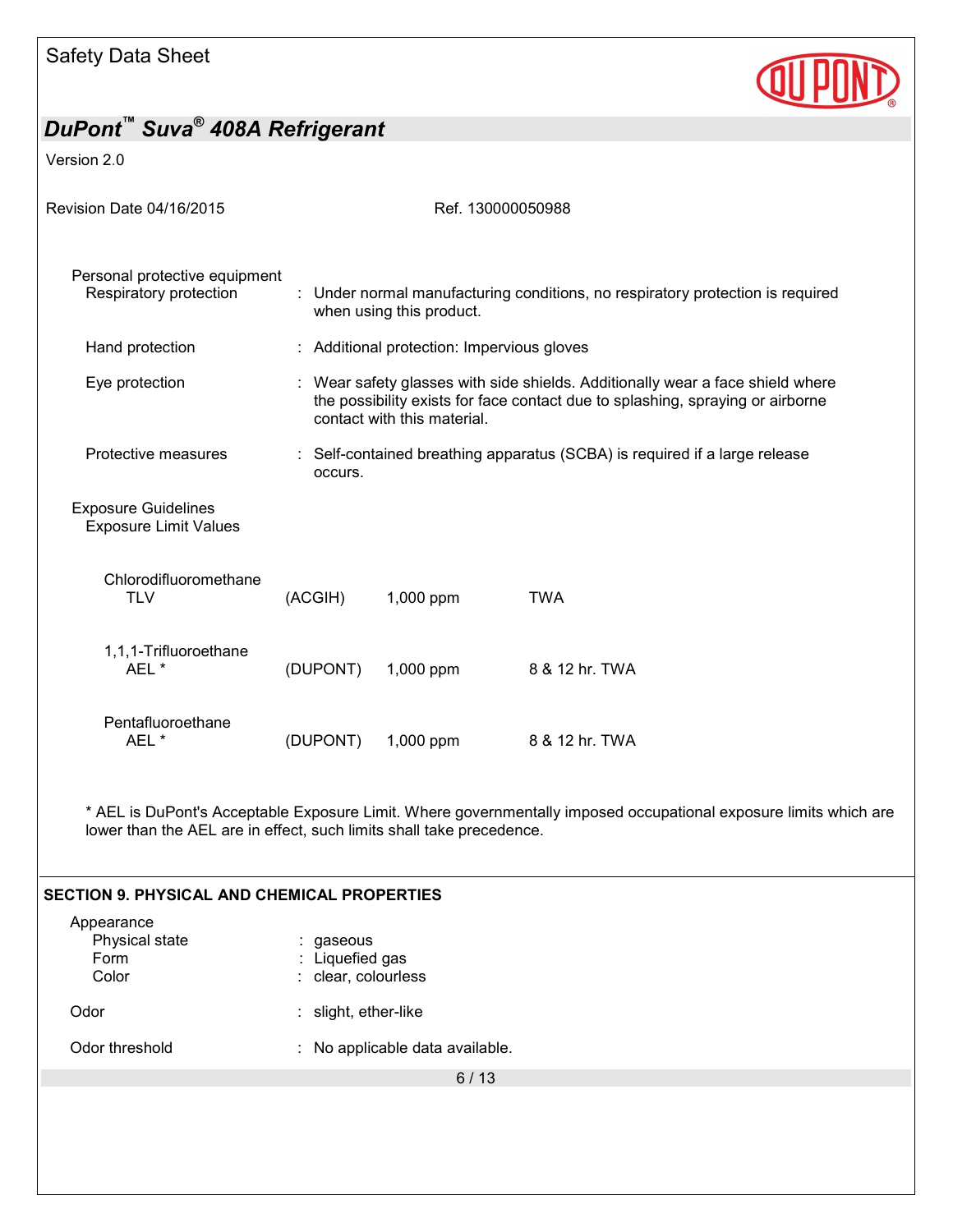

| DuPont <sup>™</sup> Suva <sup>®</sup> 408A Refrigerant     |                                                                                     |                                            |                                                                                                                                                                  |  |
|------------------------------------------------------------|-------------------------------------------------------------------------------------|--------------------------------------------|------------------------------------------------------------------------------------------------------------------------------------------------------------------|--|
| Version 2.0                                                |                                                                                     |                                            |                                                                                                                                                                  |  |
| Revision Date 04/16/2015                                   |                                                                                     |                                            | Ref. 130000050988                                                                                                                                                |  |
| Personal protective equipment<br>Respiratory protection    |                                                                                     | when using this product.                   | : Under normal manufacturing conditions, no respiratory protection is required                                                                                   |  |
| Hand protection                                            |                                                                                     | : Additional protection: Impervious gloves |                                                                                                                                                                  |  |
| Eye protection                                             |                                                                                     | contact with this material.                | : Wear safety glasses with side shields. Additionally wear a face shield where<br>the possibility exists for face contact due to splashing, spraying or airborne |  |
| Protective measures                                        | Self-contained breathing apparatus (SCBA) is required if a large release<br>occurs. |                                            |                                                                                                                                                                  |  |
| <b>Exposure Guidelines</b><br><b>Exposure Limit Values</b> |                                                                                     |                                            |                                                                                                                                                                  |  |
| Chlorodifluoromethane<br><b>TLV</b>                        | (ACGIH)                                                                             | 1,000 ppm                                  | <b>TWA</b>                                                                                                                                                       |  |
| 1,1,1-Trifluoroethane<br>AEL *                             | (DUPONT)                                                                            | 1,000 ppm                                  | 8 & 12 hr. TWA                                                                                                                                                   |  |
| Pentafluoroethane<br>AEL*                                  | (DUPONT)                                                                            | 1,000 ppm                                  | 8 & 12 hr. TWA                                                                                                                                                   |  |

\* AEL is DuPont's Acceptable Exposure Limit. Where governmentally imposed occupational exposure limits which are lower than the AEL are in effect, such limits shall take precedence.

### **SECTION 9. PHYSICAL AND CHEMICAL PROPERTIES**

| Appearance<br>Physical state<br>Form<br>Color | gaseous<br>: Liquefied gas<br>: clear, colourless |
|-----------------------------------------------|---------------------------------------------------|
| Odor                                          | $:$ slight, ether-like                            |
| Odor threshold                                | : No applicable data available.                   |
|                                               | 6 / 13                                            |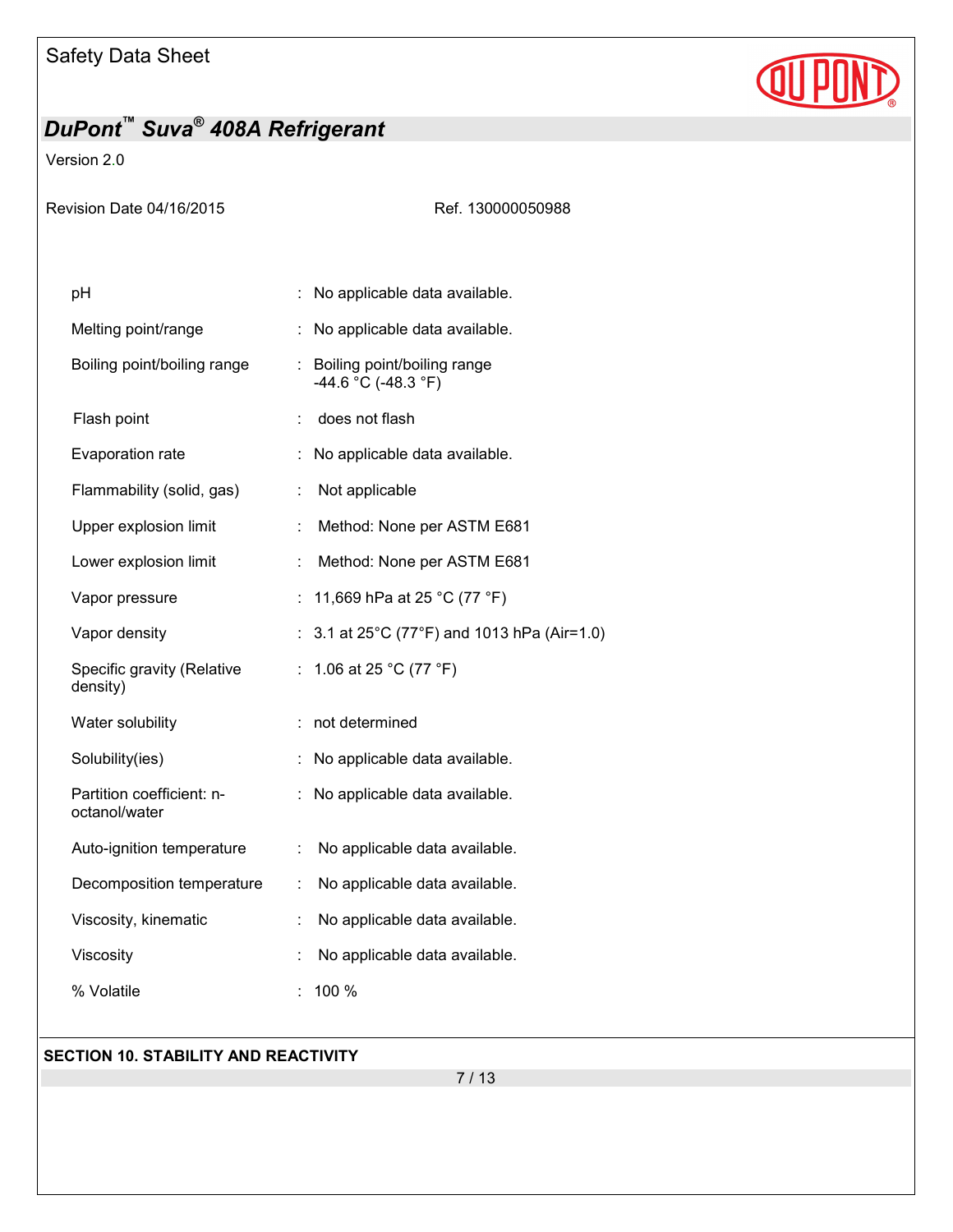

### Version 2.0

Ref. 130000050988

| pH                                         |                | No applicable data available.                      |
|--------------------------------------------|----------------|----------------------------------------------------|
| Melting point/range                        |                | No applicable data available.                      |
| Boiling point/boiling range                | t,             | Boiling point/boiling range<br>-44.6 °C (-48.3 °F) |
| Flash point                                | ÷              | does not flash                                     |
| Evaporation rate                           | t              | No applicable data available.                      |
| Flammability (solid, gas)                  | ÷              | Not applicable                                     |
| Upper explosion limit                      | t.             | Method: None per ASTM E681                         |
| Lower explosion limit                      | İ.             | Method: None per ASTM E681                         |
| Vapor pressure                             | ÷              | 11,669 hPa at 25 °C (77 °F)                        |
| Vapor density                              | ÷              | 3.1 at 25°C (77°F) and 1013 hPa (Air=1.0)          |
| Specific gravity (Relative<br>density)     |                | 1.06 at 25 °C (77 °F)                              |
| Water solubility                           |                | not determined                                     |
| Solubility(ies)                            | t              | No applicable data available.                      |
| Partition coefficient: n-<br>octanol/water |                | No applicable data available.                      |
| Auto-ignition temperature                  | İ.             | No applicable data available.                      |
| Decomposition temperature                  | t,             | No applicable data available.                      |
| Viscosity, kinematic                       | ÷              | No applicable data available.                      |
| Viscosity                                  | $\ddot{\cdot}$ | No applicable data available.                      |
| % Volatile                                 |                | 100 %                                              |

#### **SECTION 10. STABILITY AND REACTIVITY**

7 / 13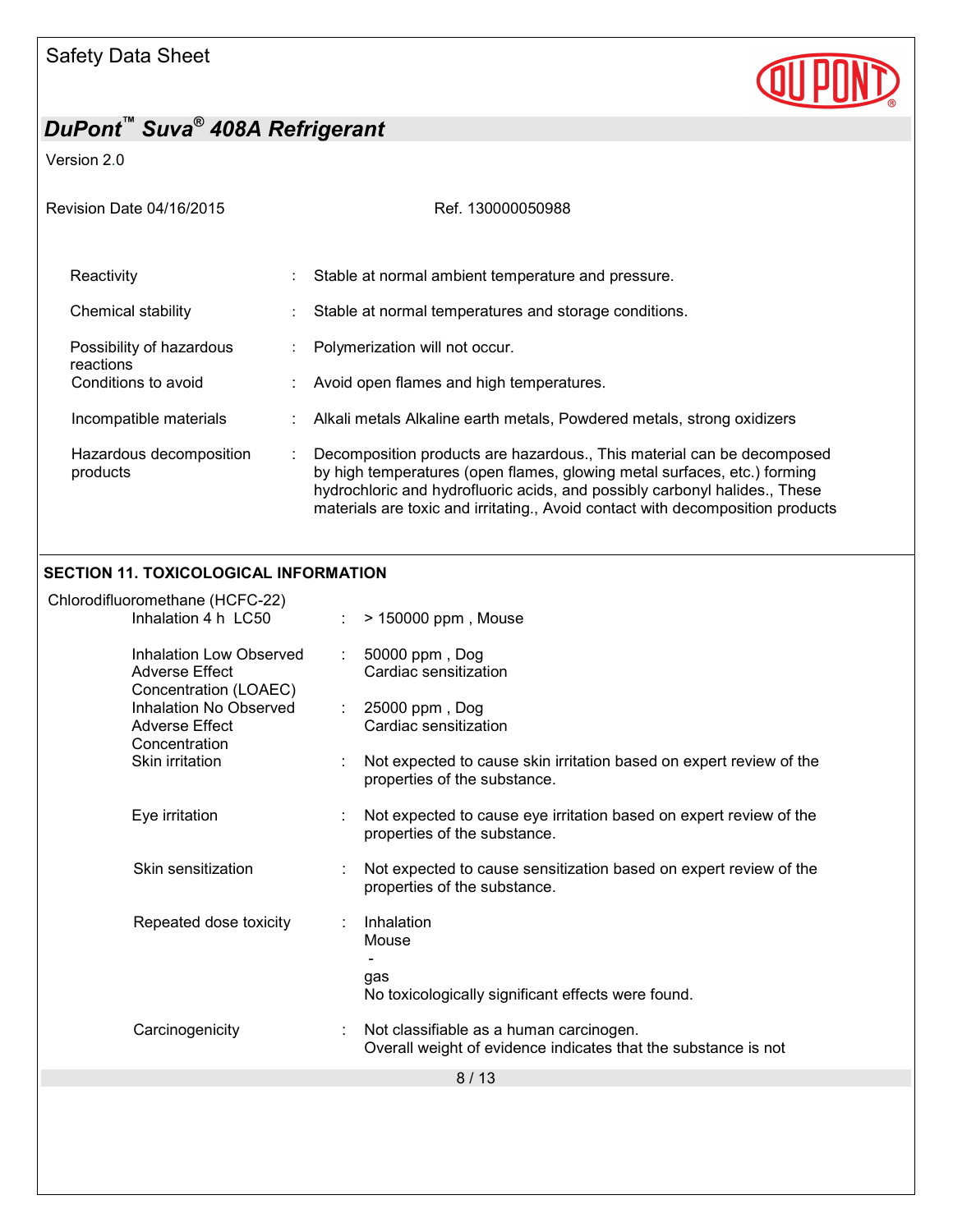

Version 2.0

| Revision Date 04/16/2015            |   | Ref. 130000050988                                                                                                                                                                                                                                                                                                  |  |
|-------------------------------------|---|--------------------------------------------------------------------------------------------------------------------------------------------------------------------------------------------------------------------------------------------------------------------------------------------------------------------|--|
| Reactivity                          |   | Stable at normal ambient temperature and pressure.                                                                                                                                                                                                                                                                 |  |
| Chemical stability                  |   | Stable at normal temperatures and storage conditions.                                                                                                                                                                                                                                                              |  |
| Possibility of hazardous            |   | Polymerization will not occur.                                                                                                                                                                                                                                                                                     |  |
| reactions<br>Conditions to avoid    |   | Avoid open flames and high temperatures.                                                                                                                                                                                                                                                                           |  |
| Incompatible materials              |   | Alkali metals Alkaline earth metals, Powdered metals, strong oxidizers                                                                                                                                                                                                                                             |  |
| Hazardous decomposition<br>products | ÷ | Decomposition products are hazardous., This material can be decomposed<br>by high temperatures (open flames, glowing metal surfaces, etc.) forming<br>hydrochloric and hydrofluoric acids, and possibly carbonyl halides., These<br>materials are toxic and irritating., Avoid contact with decomposition products |  |

### **SECTION 11. TOXICOLOGICAL INFORMATION**

| Chlorodifluoromethane (HCFC-22)<br>Inhalation 4 h LC50                    | > 150000 ppm, Mouse                                                                                                         |
|---------------------------------------------------------------------------|-----------------------------------------------------------------------------------------------------------------------------|
| Inhalation Low Observed<br><b>Adverse Effect</b><br>Concentration (LOAEC) | $: 50000$ ppm, Dog<br>Cardiac sensitization                                                                                 |
| Inhalation No Observed<br><b>Adverse Effect</b><br>Concentration          | $\therefore$ 25000 ppm, Dog<br>Cardiac sensitization                                                                        |
| Skin irritation                                                           | Not expected to cause skin irritation based on expert review of the<br>properties of the substance.                         |
| Eye irritation                                                            | Not expected to cause eye irritation based on expert review of the<br>properties of the substance.                          |
| Skin sensitization                                                        | Not expected to cause sensitization based on expert review of the<br>properties of the substance.                           |
| Repeated dose toxicity                                                    | Inhalation<br>Mouse                                                                                                         |
|                                                                           | gas<br>No toxicologically significant effects were found.                                                                   |
| Carcinogenicity                                                           | Not classifiable as a human carcinogen.<br>$\mathbb{R}^n$<br>Overall weight of evidence indicates that the substance is not |
|                                                                           | 8/13                                                                                                                        |
|                                                                           |                                                                                                                             |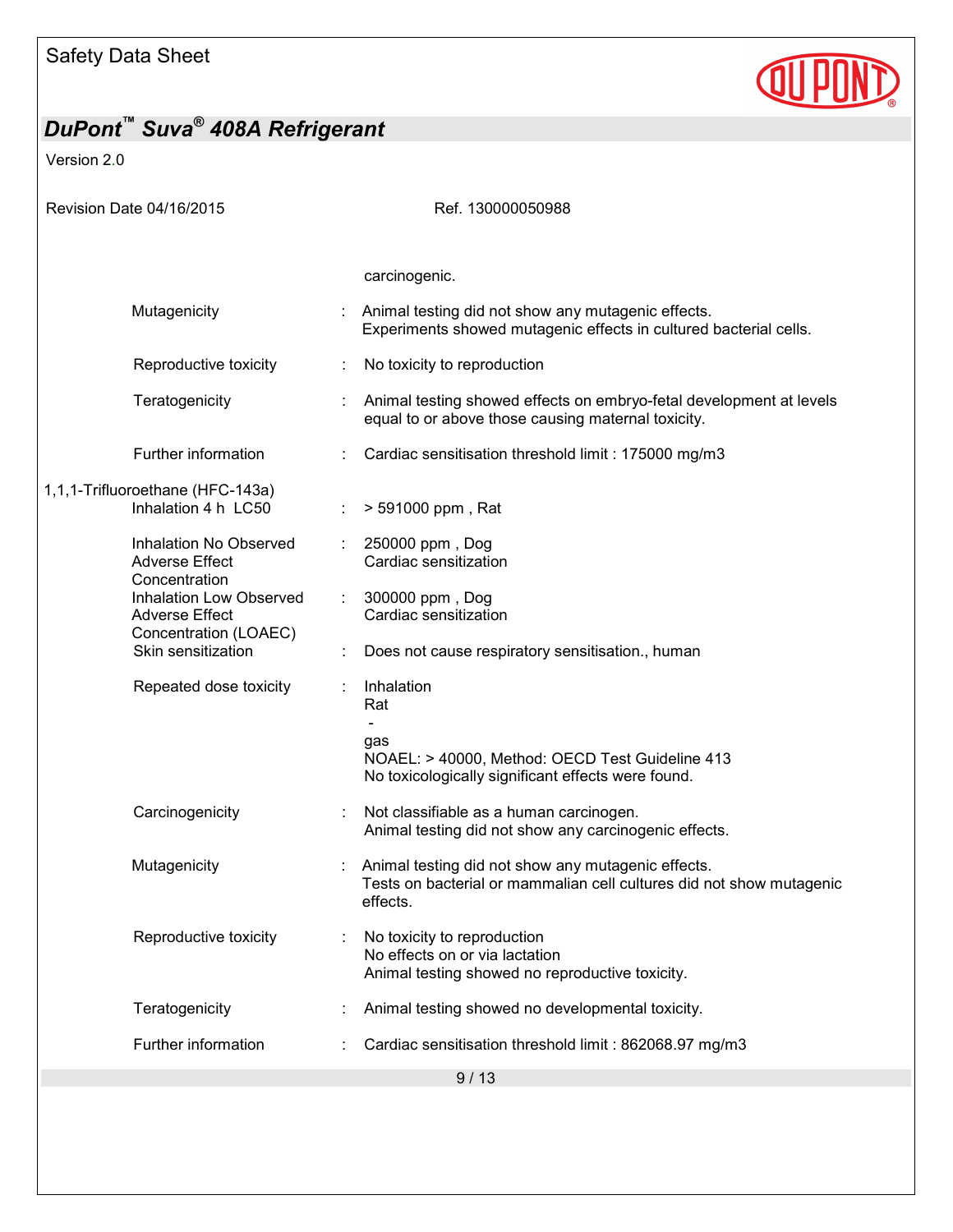

Version 2.0

| Revision Date 04/16/2015                                                                                 | Ref. 130000050988                                                                                                                      |
|----------------------------------------------------------------------------------------------------------|----------------------------------------------------------------------------------------------------------------------------------------|
|                                                                                                          |                                                                                                                                        |
|                                                                                                          | carcinogenic.                                                                                                                          |
| Mutagenicity                                                                                             | Animal testing did not show any mutagenic effects.<br>Experiments showed mutagenic effects in cultured bacterial cells.                |
| Reproductive toxicity                                                                                    | No toxicity to reproduction                                                                                                            |
| Teratogenicity                                                                                           | Animal testing showed effects on embryo-fetal development at levels<br>equal to or above those causing maternal toxicity.              |
| Further information                                                                                      | Cardiac sensitisation threshold limit: 175000 mg/m3                                                                                    |
| 1,1,1-Trifluoroethane (HFC-143a)<br>Inhalation 4 h LC50                                                  | > 591000 ppm, Rat                                                                                                                      |
| Inhalation No Observed<br><b>Adverse Effect</b><br>Concentration                                         | 250000 ppm, Dog<br>Cardiac sensitization                                                                                               |
| Inhalation Low Observed<br>$\mathcal{L}^{\mathcal{L}}$<br><b>Adverse Effect</b><br>Concentration (LOAEC) | 300000 ppm, Dog<br>Cardiac sensitization                                                                                               |
| Skin sensitization                                                                                       | Does not cause respiratory sensitisation., human                                                                                       |
| Repeated dose toxicity                                                                                   | Inhalation<br>Rat                                                                                                                      |
|                                                                                                          | gas<br>NOAEL: > 40000, Method: OECD Test Guideline 413<br>No toxicologically significant effects were found.                           |
| Carcinogenicity                                                                                          | Not classifiable as a human carcinogen.<br>Animal testing did not show any carcinogenic effects.                                       |
| Mutagenicity                                                                                             | Animal testing did not show any mutagenic effects.<br>Tests on bacterial or mammalian cell cultures did not show mutagenic<br>effects. |
| Reproductive toxicity                                                                                    | No toxicity to reproduction<br>No effects on or via lactation<br>Animal testing showed no reproductive toxicity.                       |
| Teratogenicity                                                                                           | Animal testing showed no developmental toxicity.                                                                                       |
| Further information                                                                                      | Cardiac sensitisation threshold limit: 862068.97 mg/m3                                                                                 |
|                                                                                                          | 9/13                                                                                                                                   |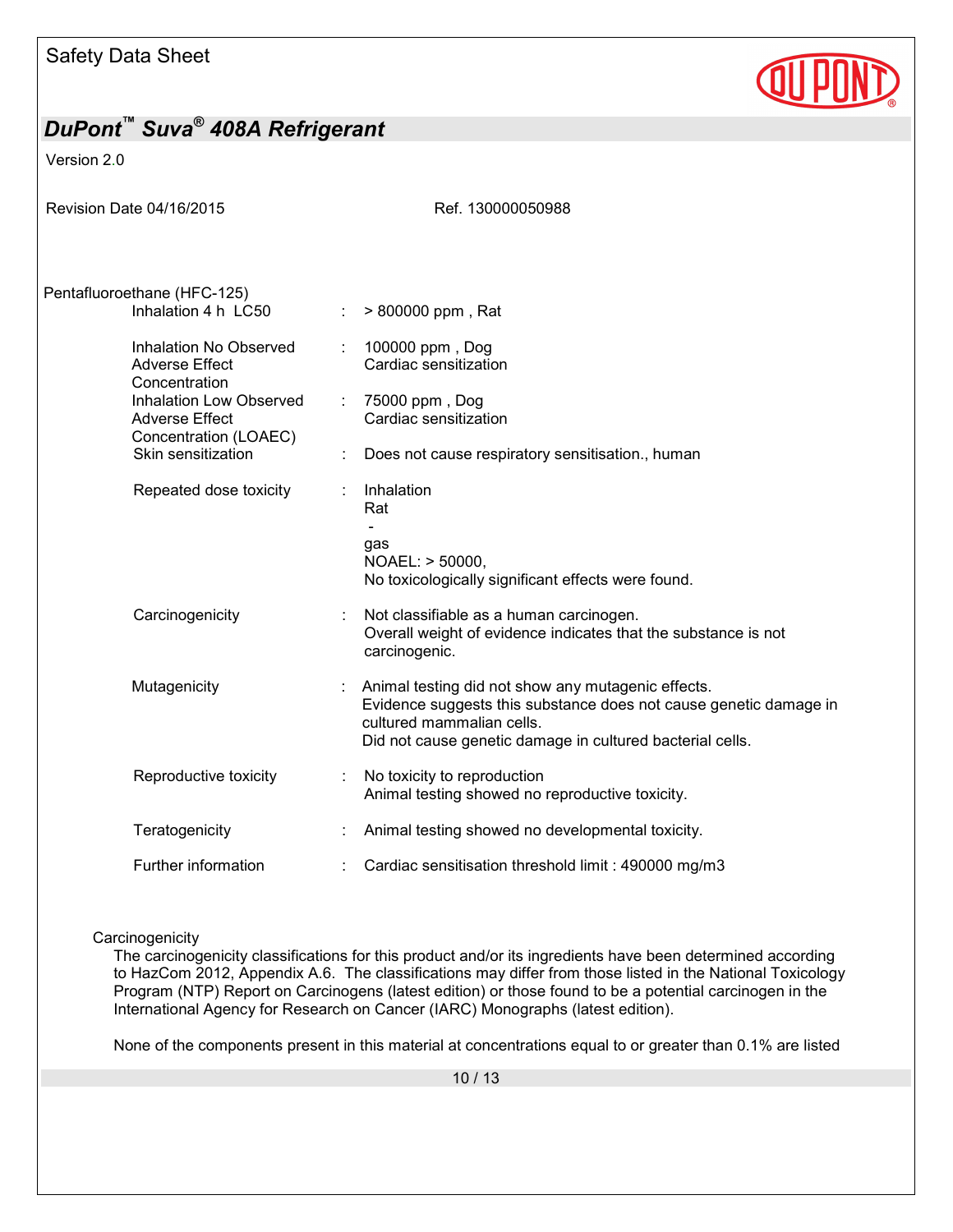

#### Version 2.0

| Revision Date 04/16/2015                                                                                                                                            | Ref. 130000050988                                                                                                                                                                                                 |
|---------------------------------------------------------------------------------------------------------------------------------------------------------------------|-------------------------------------------------------------------------------------------------------------------------------------------------------------------------------------------------------------------|
| Pentafluoroethane (HFC-125)<br>Inhalation 4 h LC50                                                                                                                  | > 800000 ppm, Rat<br>÷                                                                                                                                                                                            |
| Inhalation No Observed<br><b>Adverse Effect</b><br>Concentration<br>Inhalation Low Observed<br><b>Adverse Effect</b><br>Concentration (LOAEC)<br>Skin sensitization | 100000 ppm, Dog<br>Cardiac sensitization<br>75000 ppm, Dog                                                                                                                                                        |
|                                                                                                                                                                     | Cardiac sensitization<br>Does not cause respiratory sensitisation., human                                                                                                                                         |
| Repeated dose toxicity                                                                                                                                              | Inhalation<br>Rat<br>gas<br>$NOAEL:$ > 50000.<br>No toxicologically significant effects were found.                                                                                                               |
| Carcinogenicity                                                                                                                                                     | Not classifiable as a human carcinogen.<br>Overall weight of evidence indicates that the substance is not<br>carcinogenic.                                                                                        |
| Mutagenicity                                                                                                                                                        | Animal testing did not show any mutagenic effects.<br>Evidence suggests this substance does not cause genetic damage in<br>cultured mammalian cells.<br>Did not cause genetic damage in cultured bacterial cells. |
| Reproductive toxicity                                                                                                                                               | No toxicity to reproduction<br>Animal testing showed no reproductive toxicity.                                                                                                                                    |
| Teratogenicity                                                                                                                                                      | Animal testing showed no developmental toxicity.                                                                                                                                                                  |
| Further information                                                                                                                                                 | Cardiac sensitisation threshold limit: 490000 mg/m3                                                                                                                                                               |

#### **Carcinogenicity**

The carcinogenicity classifications for this product and/or its ingredients have been determined according to HazCom 2012, Appendix A.6. The classifications may differ from those listed in the National Toxicology Program (NTP) Report on Carcinogens (latest edition) or those found to be a potential carcinogen in the International Agency for Research on Cancer (IARC) Monographs (latest edition).

None of the components present in this material at concentrations equal to or greater than 0.1% are listed

10 / 13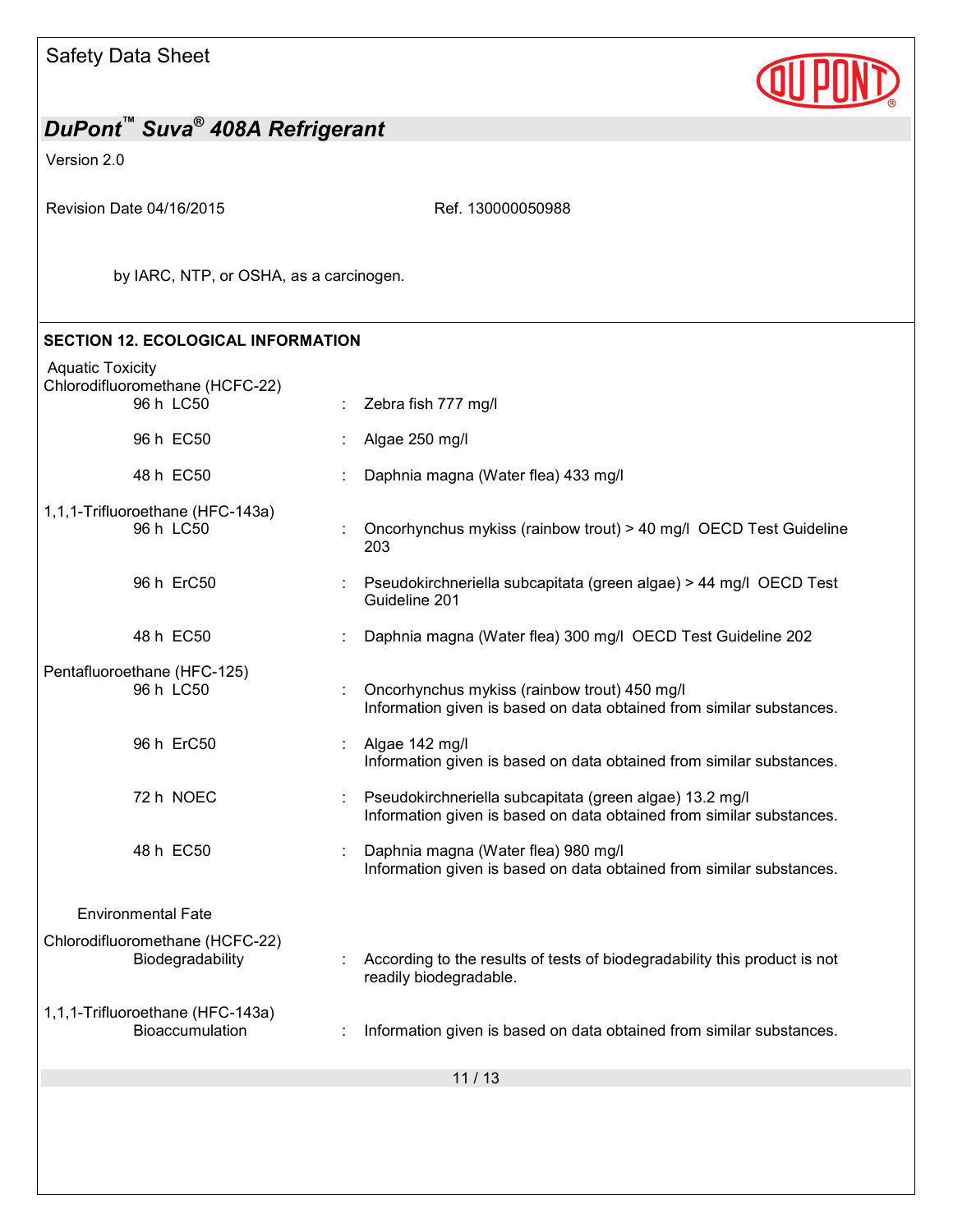

Version 2.0

Revision Date 04/16/2015 Revision Date 04/16/2015

by IARC, NTP, or OSHA, as a carcinogen.

# 11 / 13 **SECTION 12. ECOLOGICAL INFORMATION**  Aquatic Toxicity Chlorodifluoromethane (HCFC-22)  $\therefore$  Zebra fish 777 mg/l 96 h EC50 : Algae 250 mg/l 48 h EC50 : Daphnia magna (Water flea) 433 mg/l 1,1,1-Trifluoroethane (HFC-143a) 96 h LC50 : Oncorhynchus mykiss (rainbow trout) > 40 mg/l OECD Test Guideline 203 96 h ErC50 : Pseudokirchneriella subcapitata (green algae) > 44 mg/l OECD Test Guideline 201 48 h EC50 : Daphnia magna (Water flea) 300 mg/l OECD Test Guideline 202 Pentafluoroethane (HFC-125) 96 h LC50 : Oncorhynchus mykiss (rainbow trout) 450 mg/l Information given is based on data obtained from similar substances. 96 h ErC50 : Algae 142 mg/l Information given is based on data obtained from similar substances. 72 h NOEC : Pseudokirchneriella subcapitata (green algae) 13.2 mg/l Information given is based on data obtained from similar substances. 48 h EC50 : Daphnia magna (Water flea) 980 mg/l Information given is based on data obtained from similar substances. Environmental Fate Chlorodifluoromethane (HCFC-22) Biodegradability : According to the results of tests of biodegradability this product is not readily biodegradable. 1,1,1-Trifluoroethane (HFC-143a) Bioaccumulation : Information given is based on data obtained from similar substances.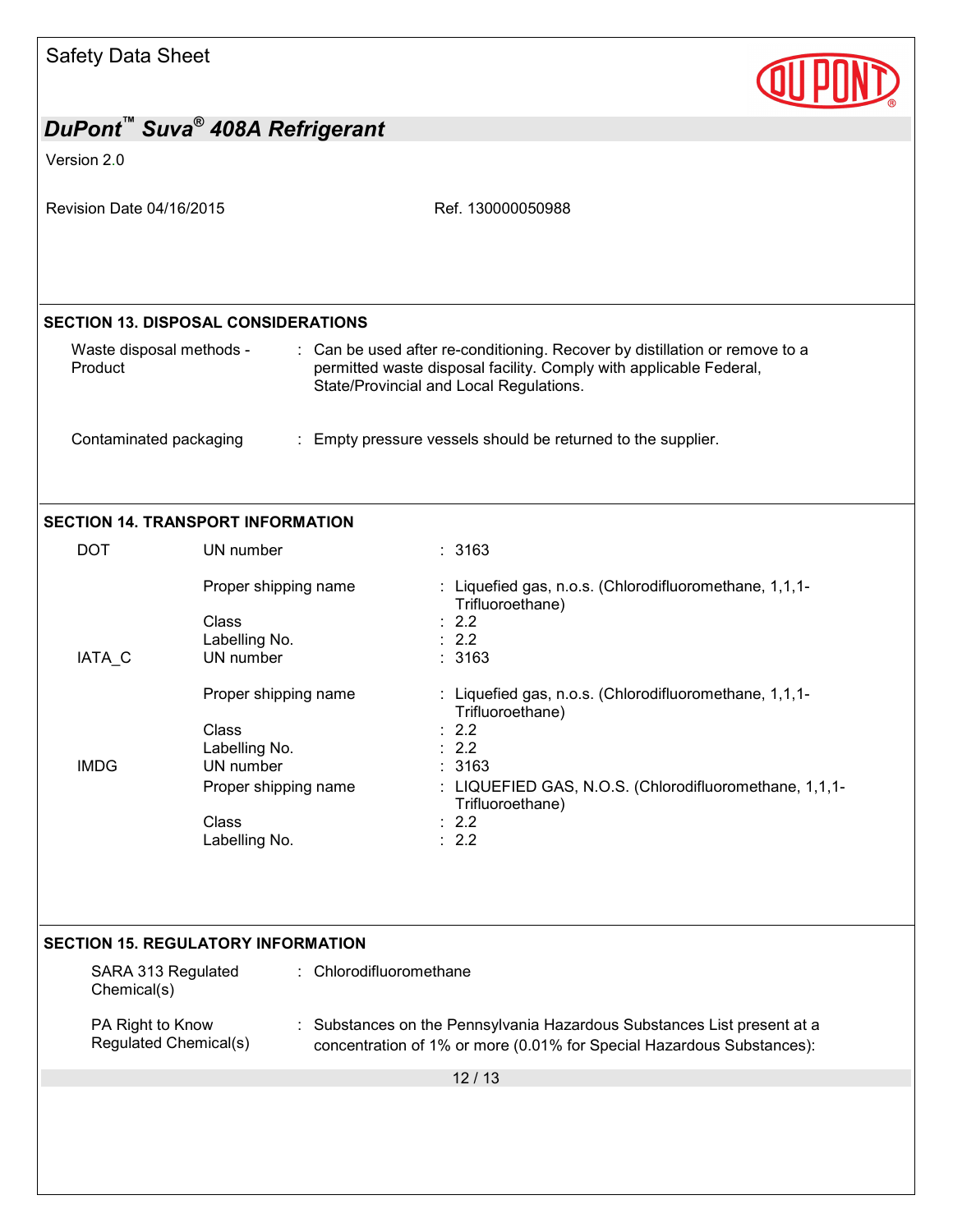| <b>Safety Data Sheet</b>            |                                                        |                                                                                                                                                                                              |
|-------------------------------------|--------------------------------------------------------|----------------------------------------------------------------------------------------------------------------------------------------------------------------------------------------------|
|                                     | DuPont <sup>™</sup> Suva <sup>®</sup> 408A Refrigerant |                                                                                                                                                                                              |
| Version 2.0                         |                                                        |                                                                                                                                                                                              |
| Revision Date 04/16/2015            |                                                        | Ref. 130000050988                                                                                                                                                                            |
|                                     | <b>SECTION 13. DISPOSAL CONSIDERATIONS</b>             |                                                                                                                                                                                              |
| Waste disposal methods -<br>Product |                                                        | : Can be used after re-conditioning. Recover by distillation or remove to a<br>permitted waste disposal facility. Comply with applicable Federal,<br>State/Provincial and Local Regulations. |
| Contaminated packaging              |                                                        | : Empty pressure vessels should be returned to the supplier.                                                                                                                                 |
|                                     | <b>SECTION 14. TRANSPORT INFORMATION</b>               |                                                                                                                                                                                              |
| <b>DOT</b>                          | UN number                                              | : 3163                                                                                                                                                                                       |
|                                     | Proper shipping name<br>Class                          | : Liquefied gas, n.o.s. (Chlorodifluoromethane, 1,1,1-<br>Trifluoroethane)<br>2.2                                                                                                            |
| IATA_C                              | Labelling No.<br>UN number                             | 2.2<br>3163                                                                                                                                                                                  |
|                                     | Proper shipping name                                   | : Liquefied gas, n.o.s. (Chlorodifluoromethane, 1,1,1-<br>Trifluoroethane)                                                                                                                   |
|                                     | Class<br>Labelling No.                                 | 2.2<br>2.2                                                                                                                                                                                   |
| <b>IMDG</b>                         | UN number<br>Proper shipping name                      | 3163<br>: LIQUEFIED GAS, N.O.S. (Chlorodifluoromethane, 1,1,1-<br>Trifluoroethane)                                                                                                           |
|                                     | Class<br>Labelling No.                                 | : 2.2<br>: 2.2                                                                                                                                                                               |
|                                     | <b>SECTION 15. REGULATORY INFORMATION</b>              |                                                                                                                                                                                              |
| Chemical(s)                         | : Chlorodifluoromethane<br>SARA 313 Regulated          |                                                                                                                                                                                              |
| PA Right to Know                    | Regulated Chemical(s)                                  | : Substances on the Pennsylvania Hazardous Substances List present at a<br>concentration of 1% or more (0.01% for Special Hazardous Substances):                                             |
|                                     |                                                        | 12/13                                                                                                                                                                                        |
|                                     |                                                        |                                                                                                                                                                                              |